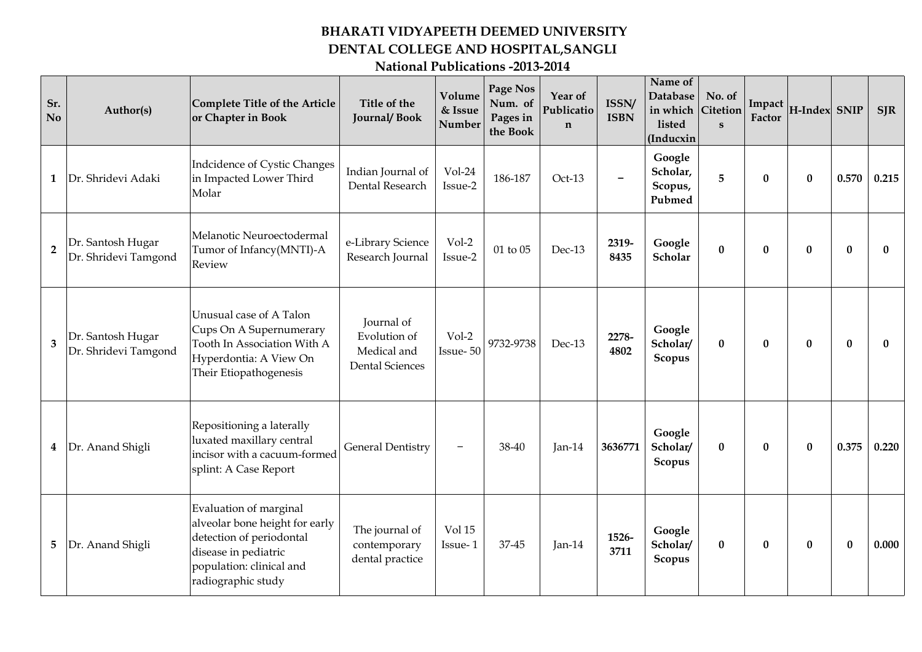## **BHARATI VIDYAPEETH DEEMED UNIVERSITY DENTAL COLLEGE AND HOSPITAL,SANGLI**

## **National Publications -2013-2014**

| Sr.<br>N <sub>o</sub> | Author(s)                                 | Complete Title of the Article<br>or Chapter in Book                                                                                                            | Title of the<br><b>Journal/Book</b>                                 | Volume<br>& Issue<br>Number | Page Nos<br>Num. of<br>Pages in<br>the Book | Year of<br>Publicatio<br>$\mathbf n$ | ISSN/<br><b>ISBN</b> | Name of<br>Database<br>in which<br>listed<br>(Inducxin | No. of<br>Citetion<br>$\mathbf{s}$ | Impact<br>Factor | H-Index SNIP |          | <b>SJR</b>   |
|-----------------------|-------------------------------------------|----------------------------------------------------------------------------------------------------------------------------------------------------------------|---------------------------------------------------------------------|-----------------------------|---------------------------------------------|--------------------------------------|----------------------|--------------------------------------------------------|------------------------------------|------------------|--------------|----------|--------------|
| 1                     | Dr. Shridevi Adaki                        | Indcidence of Cystic Changes<br>in Impacted Lower Third<br>Molar                                                                                               | Indian Journal of<br>Dental Research                                | Vol-24<br>Issue-2           | 186-187                                     | Oct-13                               |                      | Google<br>Scholar,<br>Scopus,<br>Pubmed                | 5                                  | $\bf{0}$         | $\bf{0}$     | 0.570    | 0.215        |
| $\overline{2}$        | Dr. Santosh Hugar<br>Dr. Shridevi Tamgond | Melanotic Neuroectodermal<br>Tumor of Infancy(MNTI)-A<br>Review                                                                                                | e-Library Science<br>Research Journal                               | Vol-2<br>Issue-2            | 01 to 05                                    | Dec-13                               | 2319-<br>8435        | Google<br>Scholar                                      | $\bf{0}$                           | $\mathbf{0}$     | $\mathbf{0}$ | $\bf{0}$ | 0            |
| 3                     | Dr. Santosh Hugar<br>Dr. Shridevi Tamgond | Unusual case of A Talon<br>Cups On A Supernumerary<br>Tooth In Association With A<br>Hyperdontia: A View On<br>Their Etiopathogenesis                          | Journal of<br>Evolution of<br>Medical and<br><b>Dental Sciences</b> | Vol-2<br>Issue-50           | 9732-9738                                   | Dec-13                               | 2278-<br>4802        | Google<br>Scholar/<br>Scopus                           | $\bf{0}$                           | $\bf{0}$         | $\bf{0}$     | $\bf{0}$ | $\mathbf{0}$ |
| 4                     | Dr. Anand Shigli                          | Repositioning a laterally<br>luxated maxillary central<br>incisor with a cacuum-formed<br>splint: A Case Report                                                | <b>General Dentistry</b>                                            | $\qquad \qquad -$           | 38-40                                       | $Jan-14$                             | 3636771              | Google<br>Scholar/<br>Scopus                           | $\bf{0}$                           | $\mathbf{0}$     | $\bf{0}$     | 0.375    | 0.220        |
| 5                     | Dr. Anand Shigli                          | Evaluation of marginal<br>alveolar bone height for early<br>detection of periodontal<br>disease in pediatric<br>population: clinical and<br>radiographic study | The journal of<br>contemporary<br>dental practice                   | Vol 15<br>Issue-1           | 37-45                                       | Jan-14                               | 1526-<br>3711        | Google<br>Scholar/<br>Scopus                           | $\bf{0}$                           | $\bf{0}$         | $\bf{0}$     | $\bf{0}$ | 0.000        |